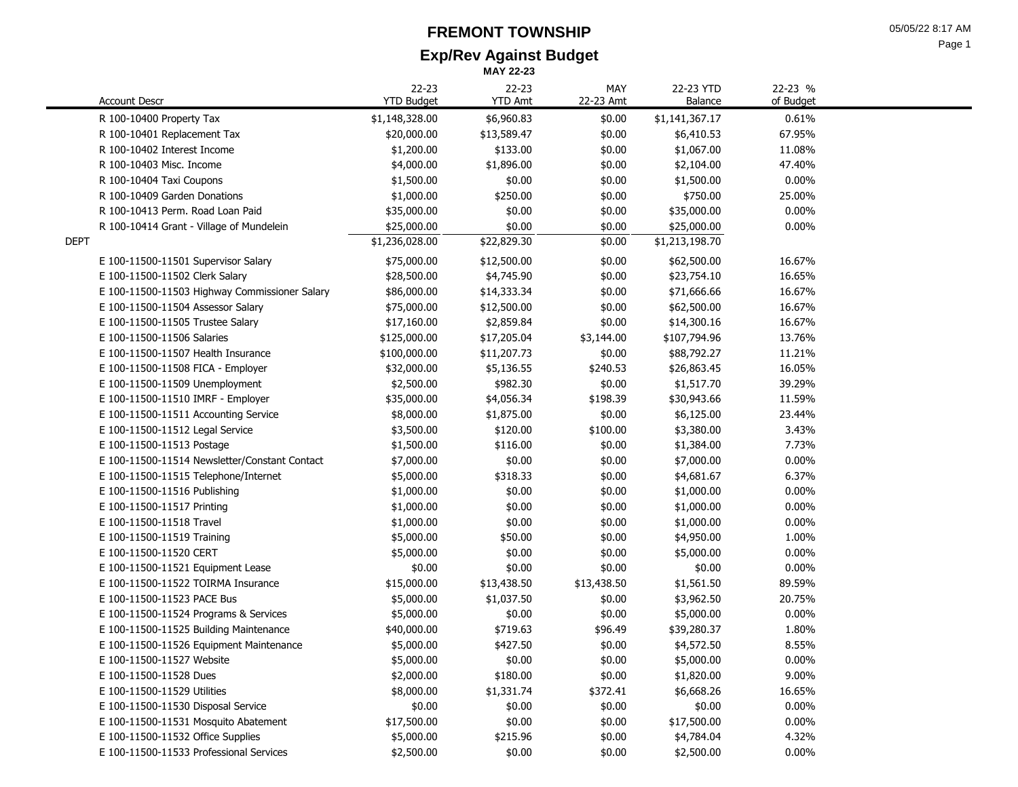# **FREMONT TOWNSHIP**

**Exp/Rev Against Budget**

| ır<br>эσ |  |
|----------|--|
|----------|--|

|      |                                               |                                | <b>MAY 22-23</b>        |                  |                      |                      |
|------|-----------------------------------------------|--------------------------------|-------------------------|------------------|----------------------|----------------------|
|      | <b>Account Descr</b>                          | $22 - 23$<br><b>YTD Budget</b> | 22-23<br><b>YTD Amt</b> | MAY<br>22-23 Amt | 22-23 YTD<br>Balance | 22-23 %<br>of Budget |
|      | R 100-10400 Property Tax                      | \$1,148,328.00                 | \$6,960.83              | \$0.00           | \$1,141,367.17       | 0.61%                |
|      | R 100-10401 Replacement Tax                   | \$20,000.00                    | \$13,589.47             | \$0.00           | \$6,410.53           | 67.95%               |
|      | R 100-10402 Interest Income                   | \$1,200.00                     | \$133.00                | \$0.00           | \$1,067.00           | 11.08%               |
|      | R 100-10403 Misc. Income                      | \$4,000.00                     | \$1,896.00              | \$0.00           | \$2,104.00           | 47.40%               |
|      | R 100-10404 Taxi Coupons                      | \$1,500.00                     | \$0.00                  | \$0.00           | \$1,500.00           | $0.00\%$             |
|      | R 100-10409 Garden Donations                  | \$1,000.00                     | \$250.00                | \$0.00           | \$750.00             | 25.00%               |
|      | R 100-10413 Perm. Road Loan Paid              | \$35,000.00                    | \$0.00                  | \$0.00           | \$35,000.00          | $0.00\%$             |
|      | R 100-10414 Grant - Village of Mundelein      | \$25,000.00                    | \$0.00                  | \$0.00           | \$25,000.00          | $0.00\%$             |
| DEPT |                                               | \$1,236,028.00                 | \$22,829.30             | \$0.00           | \$1,213,198.70       |                      |
|      | E 100-11500-11501 Supervisor Salary           | \$75,000.00                    | \$12,500.00             | \$0.00           | \$62,500.00          | 16.67%               |
|      | E 100-11500-11502 Clerk Salary                | \$28,500.00                    | \$4,745.90              | \$0.00           | \$23,754.10          | 16.65%               |
|      | E 100-11500-11503 Highway Commissioner Salary | \$86,000.00                    | \$14,333.34             | \$0.00           | \$71,666.66          | 16.67%               |
|      | E 100-11500-11504 Assessor Salary             | \$75,000.00                    | \$12,500.00             | \$0.00           | \$62,500.00          | 16.67%               |
|      | E 100-11500-11505 Trustee Salary              | \$17,160.00                    | \$2,859.84              | \$0.00           | \$14,300.16          | 16.67%               |
|      | E 100-11500-11506 Salaries                    | \$125,000.00                   | \$17,205.04             | \$3,144.00       | \$107,794.96         | 13.76%               |
|      | E 100-11500-11507 Health Insurance            | \$100,000.00                   | \$11,207.73             | \$0.00           | \$88,792.27          | 11.21%               |
|      | E 100-11500-11508 FICA - Employer             | \$32,000.00                    | \$5,136.55              | \$240.53         | \$26,863.45          | 16.05%               |
|      | E 100-11500-11509 Unemployment                | \$2,500.00                     | \$982.30                | \$0.00           | \$1,517.70           | 39.29%               |
|      | E 100-11500-11510 IMRF - Employer             | \$35,000.00                    | \$4,056.34              | \$198.39         | \$30,943.66          | 11.59%               |
|      | E 100-11500-11511 Accounting Service          | \$8,000.00                     | \$1,875.00              | \$0.00           | \$6,125.00           | 23.44%               |
|      | E 100-11500-11512 Legal Service               | \$3,500.00                     | \$120.00                | \$100.00         | \$3,380.00           | 3.43%                |
|      | E 100-11500-11513 Postage                     | \$1,500.00                     | \$116.00                | \$0.00           | \$1,384.00           | 7.73%                |
|      | E 100-11500-11514 Newsletter/Constant Contact | \$7,000.00                     | \$0.00                  | \$0.00           | \$7,000.00           | $0.00\%$             |
|      | E 100-11500-11515 Telephone/Internet          | \$5,000.00                     | \$318.33                | \$0.00           | \$4,681.67           | 6.37%                |
|      | E 100-11500-11516 Publishing                  | \$1,000.00                     | \$0.00                  | \$0.00           | \$1,000.00           | 0.00%                |
|      | E 100-11500-11517 Printing                    | \$1,000.00                     | \$0.00                  | \$0.00           | \$1,000.00           | 0.00%                |
|      | E 100-11500-11518 Travel                      | \$1,000.00                     | \$0.00                  | \$0.00           | \$1,000.00           | 0.00%                |
|      | E 100-11500-11519 Training                    | \$5,000.00                     | \$50.00                 | \$0.00           | \$4,950.00           | 1.00%                |
|      | E 100-11500-11520 CERT                        | \$5,000.00                     | \$0.00                  | \$0.00           | \$5,000.00           | $0.00\%$             |
|      | E 100-11500-11521 Equipment Lease             | \$0.00                         | \$0.00                  | \$0.00           | \$0.00               | $0.00\%$             |
|      | E 100-11500-11522 TOIRMA Insurance            | \$15,000.00                    | \$13,438.50             | \$13,438.50      | \$1,561.50           | 89.59%               |
|      | E 100-11500-11523 PACE Bus                    | \$5,000.00                     | \$1,037.50              | \$0.00           | \$3,962.50           | 20.75%               |
|      | E 100-11500-11524 Programs & Services         | \$5,000.00                     | \$0.00                  | \$0.00           | \$5,000.00           | $0.00\%$             |
|      | E 100-11500-11525 Building Maintenance        | \$40,000.00                    | \$719.63                | \$96.49          | \$39,280.37          | 1.80%                |
|      | E 100-11500-11526 Equipment Maintenance       | \$5,000.00                     | \$427.50                | \$0.00           | \$4,572.50           | 8.55%                |
|      | E 100-11500-11527 Website                     | \$5,000.00                     | \$0.00                  | \$0.00           | \$5,000.00           | 0.00%                |
|      | E 100-11500-11528 Dues                        | \$2,000.00                     | \$180.00                | \$0.00           | \$1,820.00           | 9.00%                |
|      | E 100-11500-11529 Utilities                   | \$8,000.00                     | \$1,331.74              | \$372.41         | \$6,668.26           | 16.65%               |
|      | E 100-11500-11530 Disposal Service            | \$0.00                         | \$0.00                  | \$0.00           | \$0.00               | $0.00\%$             |
|      | E 100-11500-11531 Mosquito Abatement          | \$17,500.00                    | \$0.00                  | \$0.00           | \$17,500.00          | $0.00\%$             |
|      | E 100-11500-11532 Office Supplies             | \$5,000.00                     | \$215.96                | \$0.00           | \$4,784.04           | 4.32%                |
|      | E 100-11500-11533 Professional Services       | \$2,500.00                     | \$0.00                  | \$0.00           | \$2,500.00           | $0.00\%$             |
|      |                                               |                                |                         |                  |                      |                      |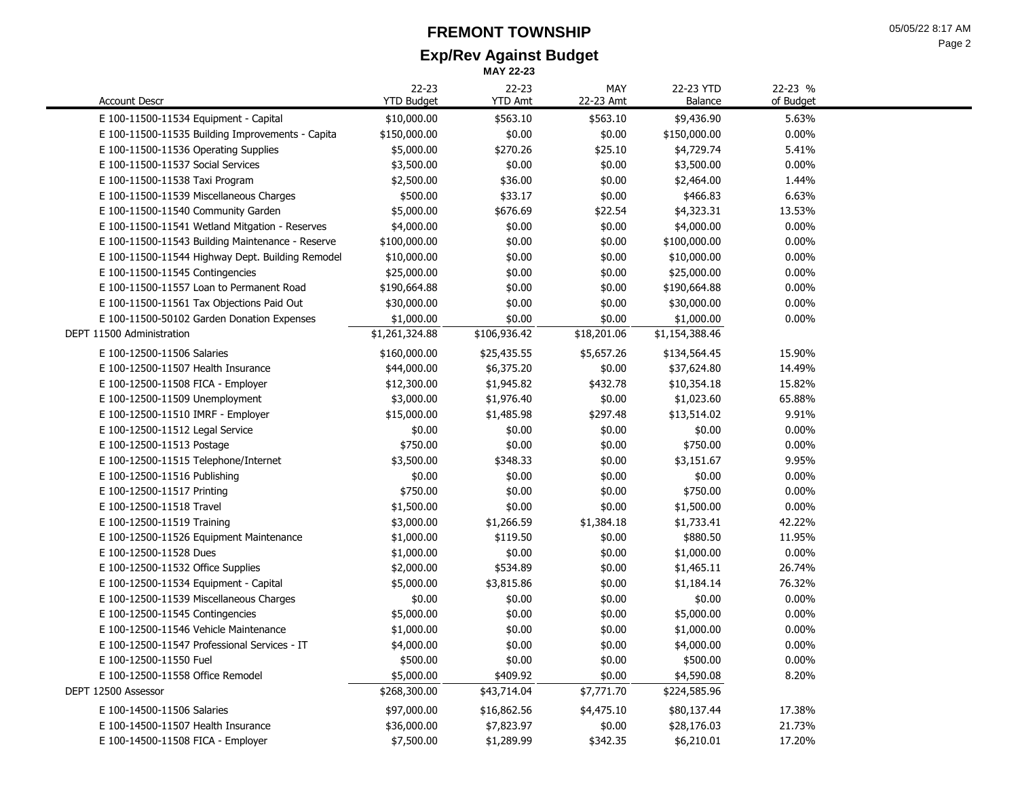#### **Exp/Rev Against Budget FREMONT TOWNSHIP MAY 22-23**

|                                                  | 22-23             | 22-23          | MAY         | 22-23 YTD      | 22-23 %   |  |
|--------------------------------------------------|-------------------|----------------|-------------|----------------|-----------|--|
| <b>Account Descr</b>                             | <b>YTD Budget</b> | <b>YTD Amt</b> | 22-23 Amt   | Balance        | of Budget |  |
| E 100-11500-11534 Equipment - Capital            | \$10,000.00       | \$563.10       | \$563.10    | \$9,436.90     | 5.63%     |  |
| E 100-11500-11535 Building Improvements - Capita | \$150,000.00      | \$0.00         | \$0.00      | \$150,000.00   | 0.00%     |  |
| E 100-11500-11536 Operating Supplies             | \$5,000.00        | \$270.26       | \$25.10     | \$4,729.74     | 5.41%     |  |
| E 100-11500-11537 Social Services                | \$3,500.00        | \$0.00         | \$0.00      | \$3,500.00     | $0.00\%$  |  |
| E 100-11500-11538 Taxi Program                   | \$2,500.00        | \$36.00        | \$0.00      | \$2,464.00     | 1.44%     |  |
| E 100-11500-11539 Miscellaneous Charges          | \$500.00          | \$33.17        | \$0.00      | \$466.83       | 6.63%     |  |
| E 100-11500-11540 Community Garden               | \$5,000.00        | \$676.69       | \$22.54     | \$4,323.31     | 13.53%    |  |
| E 100-11500-11541 Wetland Mitgation - Reserves   | \$4,000.00        | \$0.00         | \$0.00      | \$4,000.00     | 0.00%     |  |
| E 100-11500-11543 Building Maintenance - Reserve | \$100,000.00      | \$0.00         | \$0.00      | \$100,000.00   | 0.00%     |  |
| E 100-11500-11544 Highway Dept. Building Remodel | \$10,000.00       | \$0.00         | \$0.00      | \$10,000.00    | $0.00\%$  |  |
| E 100-11500-11545 Contingencies                  | \$25,000.00       | \$0.00         | \$0.00      | \$25,000.00    | 0.00%     |  |
| E 100-11500-11557 Loan to Permanent Road         | \$190,664.88      | \$0.00         | \$0.00      | \$190,664.88   | 0.00%     |  |
| E 100-11500-11561 Tax Objections Paid Out        | \$30,000.00       | \$0.00         | \$0.00      | \$30,000.00    | 0.00%     |  |
| E 100-11500-50102 Garden Donation Expenses       | \$1,000.00        | \$0.00         | \$0.00      | \$1,000.00     | $0.00\%$  |  |
| DEPT 11500 Administration                        | \$1,261,324.88    | \$106,936.42   | \$18,201.06 | \$1,154,388.46 |           |  |
| E 100-12500-11506 Salaries                       | \$160,000.00      | \$25,435.55    | \$5,657.26  | \$134,564.45   | 15.90%    |  |
| E 100-12500-11507 Health Insurance               | \$44,000.00       | \$6,375.20     | \$0.00      | \$37,624.80    | 14.49%    |  |
| E 100-12500-11508 FICA - Employer                | \$12,300.00       | \$1,945.82     | \$432.78    | \$10,354.18    | 15.82%    |  |
| E 100-12500-11509 Unemployment                   | \$3,000.00        | \$1,976.40     | \$0.00      | \$1,023.60     | 65.88%    |  |
| E 100-12500-11510 IMRF - Employer                | \$15,000.00       | \$1,485.98     | \$297.48    | \$13,514.02    | 9.91%     |  |
| E 100-12500-11512 Legal Service                  | \$0.00            | \$0.00         | \$0.00      | \$0.00         | $0.00\%$  |  |
| E 100-12500-11513 Postage                        | \$750.00          | \$0.00         | \$0.00      | \$750.00       | $0.00\%$  |  |
| E 100-12500-11515 Telephone/Internet             | \$3,500.00        | \$348.33       | \$0.00      | \$3,151.67     | 9.95%     |  |
| E 100-12500-11516 Publishing                     | \$0.00            | \$0.00         | \$0.00      | \$0.00         | $0.00\%$  |  |
| E 100-12500-11517 Printing                       | \$750.00          | \$0.00         | \$0.00      | \$750.00       | $0.00\%$  |  |
| E 100-12500-11518 Travel                         | \$1,500.00        | \$0.00         | \$0.00      | \$1,500.00     | 0.00%     |  |
| E 100-12500-11519 Training                       | \$3,000.00        | \$1,266.59     | \$1,384.18  | \$1,733.41     | 42.22%    |  |
| E 100-12500-11526 Equipment Maintenance          | \$1,000.00        | \$119.50       | \$0.00      | \$880.50       | 11.95%    |  |
| E 100-12500-11528 Dues                           | \$1,000.00        | \$0.00         | \$0.00      | \$1,000.00     | 0.00%     |  |
| E 100-12500-11532 Office Supplies                | \$2,000.00        | \$534.89       | \$0.00      | \$1,465.11     | 26.74%    |  |
| E 100-12500-11534 Equipment - Capital            | \$5,000.00        | \$3,815.86     | \$0.00      | \$1,184.14     | 76.32%    |  |
| E 100-12500-11539 Miscellaneous Charges          | \$0.00            | \$0.00         | \$0.00      | \$0.00         | $0.00\%$  |  |
| E 100-12500-11545 Contingencies                  | \$5,000.00        | \$0.00         | \$0.00      | \$5,000.00     | 0.00%     |  |
| E 100-12500-11546 Vehicle Maintenance            | \$1,000.00        | \$0.00         | \$0.00      | \$1,000.00     | 0.00%     |  |
| E 100-12500-11547 Professional Services - IT     | \$4,000.00        | \$0.00         | \$0.00      | \$4,000.00     | $0.00\%$  |  |
| E 100-12500-11550 Fuel                           | \$500.00          | \$0.00         | \$0.00      | \$500.00       | $0.00\%$  |  |
| E 100-12500-11558 Office Remodel                 | \$5,000.00        | \$409.92       | \$0.00      | \$4,590.08     | 8.20%     |  |
| DEPT 12500 Assessor                              | \$268,300.00      | \$43,714.04    | \$7,771.70  | \$224,585.96   |           |  |
| E 100-14500-11506 Salaries                       | \$97,000.00       | \$16,862.56    | \$4,475.10  | \$80,137.44    | 17.38%    |  |
| E 100-14500-11507 Health Insurance               | \$36,000.00       | \$7,823.97     | \$0.00      | \$28,176.03    | 21.73%    |  |
| E 100-14500-11508 FICA - Employer                | \$7,500.00        | \$1,289.99     | \$342.35    | \$6,210.01     | 17.20%    |  |
|                                                  |                   |                |             |                |           |  |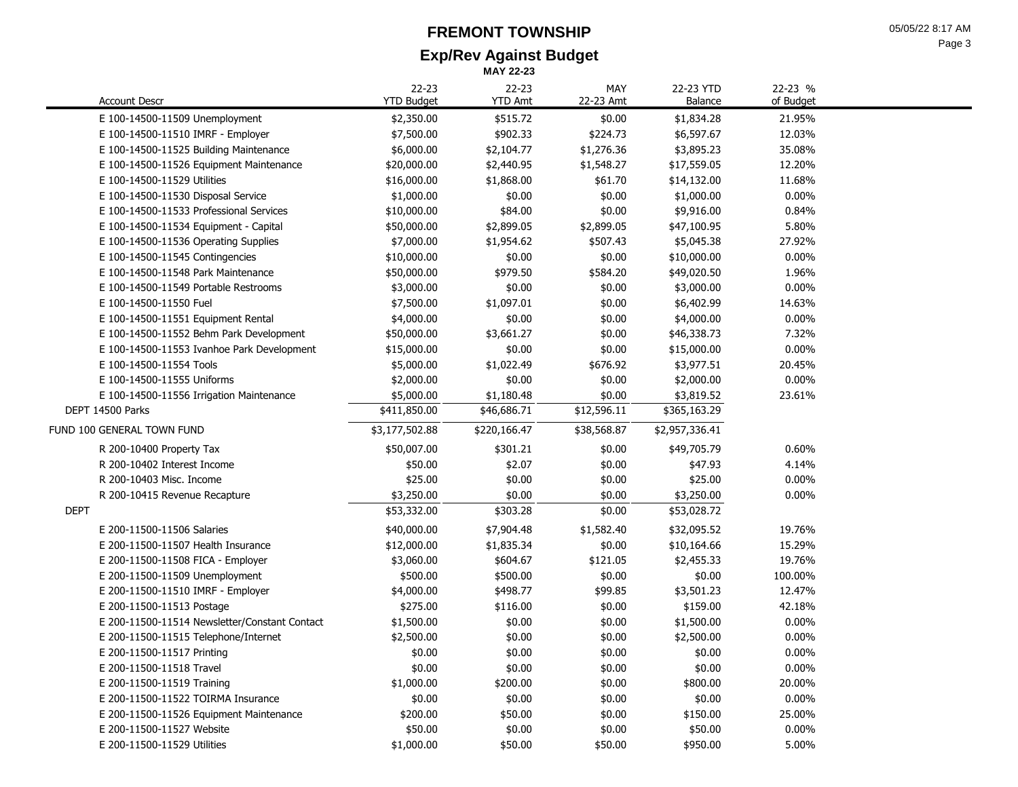## **Exp/Rev Against Budget FREMONT TOWNSHIP**

**MAY 22-23**

| 05/05/22 8:17 AM |
|------------------|
| Page 3           |

| <b>Account Descr</b>                          | 22-23<br><b>YTD Budget</b> | 22-23<br><b>YTD Amt</b> | MAY<br>22-23 Amt | 22-23 YTD<br>Balance | 22-23 %<br>of Budget |
|-----------------------------------------------|----------------------------|-------------------------|------------------|----------------------|----------------------|
| E 100-14500-11509 Unemployment                | \$2,350.00                 | \$515.72                | \$0.00           | \$1,834.28           | 21.95%               |
| E 100-14500-11510 IMRF - Employer             | \$7,500.00                 | \$902.33                | \$224.73         | \$6,597.67           | 12.03%               |
| E 100-14500-11525 Building Maintenance        | \$6,000.00                 | \$2,104.77              | \$1,276.36       | \$3,895.23           | 35.08%               |
| E 100-14500-11526 Equipment Maintenance       | \$20,000.00                | \$2,440.95              | \$1,548.27       | \$17,559.05          | 12.20%               |
| E 100-14500-11529 Utilities                   | \$16,000.00                | \$1,868.00              | \$61.70          | \$14,132.00          | 11.68%               |
| E 100-14500-11530 Disposal Service            | \$1,000.00                 | \$0.00                  | \$0.00           | \$1,000.00           | 0.00%                |
| E 100-14500-11533 Professional Services       | \$10,000.00                | \$84.00                 | \$0.00           | \$9,916.00           | 0.84%                |
| E 100-14500-11534 Equipment - Capital         | \$50,000.00                | \$2,899.05              | \$2,899.05       | \$47,100.95          | 5.80%                |
| E 100-14500-11536 Operating Supplies          | \$7,000.00                 | \$1,954.62              | \$507.43         | \$5,045.38           | 27.92%               |
| E 100-14500-11545 Contingencies               | \$10,000.00                | \$0.00                  | \$0.00           | \$10,000.00          | 0.00%                |
| E 100-14500-11548 Park Maintenance            | \$50,000.00                | \$979.50                | \$584.20         | \$49,020.50          | 1.96%                |
| E 100-14500-11549 Portable Restrooms          | \$3,000.00                 | \$0.00                  | \$0.00           | \$3,000.00           | 0.00%                |
| E 100-14500-11550 Fuel                        | \$7,500.00                 | \$1,097.01              | \$0.00           | \$6,402.99           | 14.63%               |
| E 100-14500-11551 Equipment Rental            | \$4,000.00                 | \$0.00                  | \$0.00           | \$4,000.00           | 0.00%                |
| E 100-14500-11552 Behm Park Development       | \$50,000.00                | \$3,661.27              | \$0.00           | \$46,338.73          | 7.32%                |
| E 100-14500-11553 Ivanhoe Park Development    | \$15,000.00                | \$0.00                  | \$0.00           | \$15,000.00          | 0.00%                |
| E 100-14500-11554 Tools                       | \$5,000.00                 | \$1,022.49              | \$676.92         | \$3,977.51           | 20.45%               |
| E 100-14500-11555 Uniforms                    | \$2,000.00                 | \$0.00                  | \$0.00           | \$2,000.00           | $0.00\%$             |
| E 100-14500-11556 Irrigation Maintenance      | \$5,000.00                 | \$1,180.48              | \$0.00           | \$3,819.52           | 23.61%               |
| DEPT 14500 Parks                              | \$411,850.00               | \$46,686.71             | \$12,596.11      | \$365,163.29         |                      |
| FUND 100 GENERAL TOWN FUND                    | \$3,177,502.88             | \$220,166.47            | \$38,568.87      | \$2,957,336.41       |                      |
| R 200-10400 Property Tax                      | \$50,007.00                | \$301.21                | \$0.00           | \$49,705.79          | 0.60%                |
| R 200-10402 Interest Income                   | \$50.00                    | \$2.07                  | \$0.00           | \$47.93              | 4.14%                |
| R 200-10403 Misc. Income                      | \$25.00                    | \$0.00                  | \$0.00           | \$25.00              | 0.00%                |
| R 200-10415 Revenue Recapture                 | \$3,250.00                 | \$0.00                  | \$0.00           | \$3,250.00           | 0.00%                |
| <b>DEPT</b>                                   | \$53,332.00                | \$303.28                | \$0.00           | \$53,028.72          |                      |
| E 200-11500-11506 Salaries                    | \$40,000.00                | \$7,904.48              | \$1,582.40       | \$32,095.52          | 19.76%               |
| E 200-11500-11507 Health Insurance            | \$12,000.00                | \$1,835.34              | \$0.00           | \$10,164.66          | 15.29%               |
| E 200-11500-11508 FICA - Employer             | \$3,060.00                 | \$604.67                | \$121.05         | \$2,455.33           | 19.76%               |
| E 200-11500-11509 Unemployment                | \$500.00                   | \$500.00                | \$0.00           | \$0.00               | 100.00%              |
| E 200-11500-11510 IMRF - Employer             | \$4,000.00                 | \$498.77                | \$99.85          | \$3,501.23           | 12.47%               |
| E 200-11500-11513 Postage                     | \$275.00                   | \$116.00                | \$0.00           | \$159.00             | 42.18%               |
| E 200-11500-11514 Newsletter/Constant Contact | \$1,500.00                 | \$0.00                  | \$0.00           | \$1,500.00           | 0.00%                |
| E 200-11500-11515 Telephone/Internet          | \$2,500.00                 | \$0.00                  | \$0.00           | \$2,500.00           | 0.00%                |
| E 200-11500-11517 Printing                    | \$0.00                     | \$0.00                  | \$0.00           | \$0.00               | 0.00%                |
| E 200-11500-11518 Travel                      | \$0.00                     | \$0.00                  | \$0.00           | \$0.00               | 0.00%                |
| E 200-11500-11519 Training                    | \$1,000.00                 | \$200.00                | \$0.00           | \$800.00             | 20.00%               |
| E 200-11500-11522 TOIRMA Insurance            | \$0.00                     | \$0.00                  | \$0.00           | \$0.00               | 0.00%                |
| E 200-11500-11526 Equipment Maintenance       | \$200.00                   | \$50.00                 | \$0.00           | \$150.00             | 25.00%               |
| E 200-11500-11527 Website                     | \$50.00                    | \$0.00                  | \$0.00           | \$50.00              | 0.00%                |
| E 200-11500-11529 Utilities                   | \$1,000.00                 | \$50.00                 | \$50.00          | \$950.00             | 5.00%                |
|                                               |                            |                         |                  |                      |                      |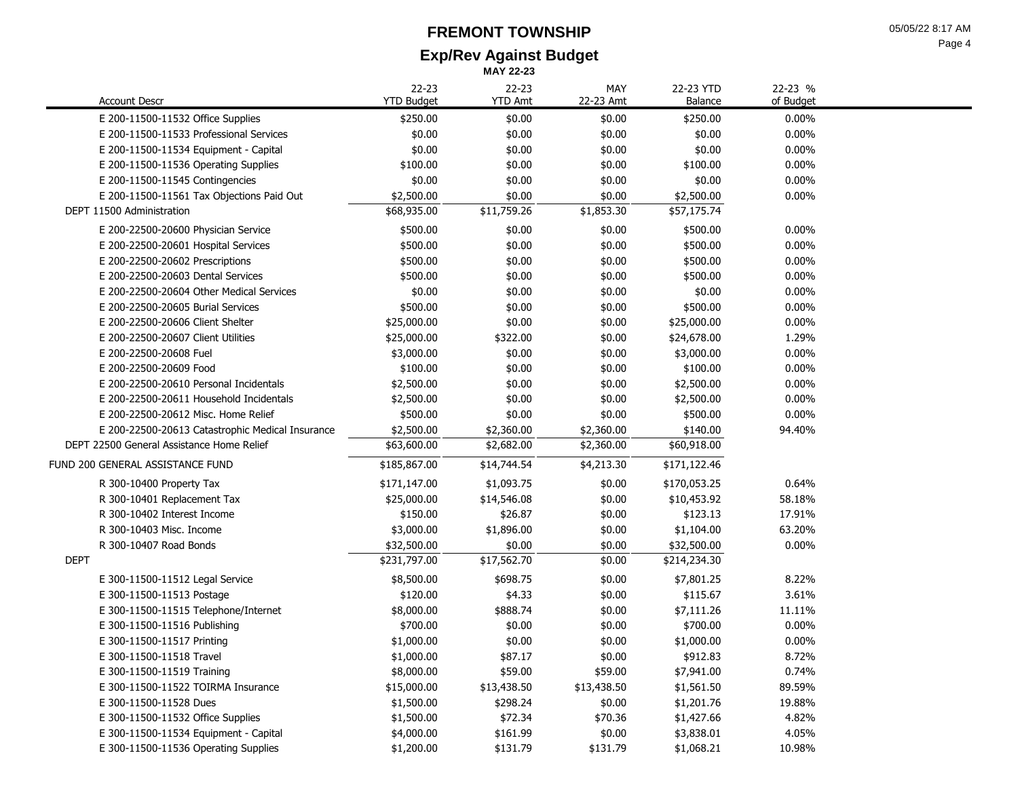## **Exp/Rev Against Budget FREMONT TOWNSHIP**

|                                                  |                                | <b>MAY 22-23</b>            |                  |                      |                      |
|--------------------------------------------------|--------------------------------|-----------------------------|------------------|----------------------|----------------------|
| <b>Account Descr</b>                             | $22 - 23$<br><b>YTD Budget</b> | $22 - 23$<br><b>YTD Amt</b> | MAY<br>22-23 Amt | 22-23 YTD<br>Balance | 22-23 %<br>of Budget |
| E 200-11500-11532 Office Supplies                | \$250.00                       | \$0.00                      | \$0.00           | \$250.00             | $0.00\%$             |
| E 200-11500-11533 Professional Services          | \$0.00                         | \$0.00                      | \$0.00           | \$0.00               | $0.00\%$             |
| E 200-11500-11534 Equipment - Capital            | \$0.00                         | \$0.00                      | \$0.00           | \$0.00               | 0.00%                |
| E 200-11500-11536 Operating Supplies             | \$100.00                       | \$0.00                      | \$0.00           | \$100.00             | 0.00%                |
| E 200-11500-11545 Contingencies                  | \$0.00                         | \$0.00                      | \$0.00           | \$0.00               | 0.00%                |
| E 200-11500-11561 Tax Objections Paid Out        | \$2,500.00                     | \$0.00                      | \$0.00           | \$2,500.00           | $0.00\%$             |
| DEPT 11500 Administration                        | \$68,935.00                    | \$11,759.26                 | \$1,853.30       | \$57,175.74          |                      |
| E 200-22500-20600 Physician Service              | \$500.00                       | \$0.00                      | \$0.00           | \$500.00             | 0.00%                |
| E 200-22500-20601 Hospital Services              | \$500.00                       | \$0.00                      | \$0.00           | \$500.00             | $0.00\%$             |
| E 200-22500-20602 Prescriptions                  | \$500.00                       | \$0.00                      | \$0.00           | \$500.00             | 0.00%                |
| E 200-22500-20603 Dental Services                | \$500.00                       | \$0.00                      | \$0.00           | \$500.00             | 0.00%                |
| E 200-22500-20604 Other Medical Services         | \$0.00                         | \$0.00                      | \$0.00           | \$0.00               | 0.00%                |
| E 200-22500-20605 Burial Services                | \$500.00                       | \$0.00                      | \$0.00           | \$500.00             | 0.00%                |
| E 200-22500-20606 Client Shelter                 | \$25,000.00                    | \$0.00                      | \$0.00           | \$25,000.00          | 0.00%                |
| E 200-22500-20607 Client Utilities               | \$25,000.00                    | \$322.00                    | \$0.00           | \$24,678.00          | 1.29%                |
| E 200-22500-20608 Fuel                           | \$3,000.00                     | \$0.00                      | \$0.00           | \$3,000.00           | 0.00%                |
| E 200-22500-20609 Food                           | \$100.00                       | \$0.00                      | \$0.00           | \$100.00             | 0.00%                |
| E 200-22500-20610 Personal Incidentals           | \$2,500.00                     | \$0.00                      | \$0.00           | \$2,500.00           | 0.00%                |
| E 200-22500-20611 Household Incidentals          | \$2,500.00                     | \$0.00                      | \$0.00           | \$2,500.00           | 0.00%                |
| E 200-22500-20612 Misc. Home Relief              | \$500.00                       | \$0.00                      | \$0.00           | \$500.00             | 0.00%                |
| E 200-22500-20613 Catastrophic Medical Insurance | \$2,500.00                     | \$2,360.00                  | \$2,360.00       | \$140.00             | 94.40%               |
| DEPT 22500 General Assistance Home Relief        | \$63,600.00                    | \$2,682.00                  | \$2,360.00       | \$60,918.00          |                      |
| FUND 200 GENERAL ASSISTANCE FUND                 | \$185,867.00                   | \$14,744.54                 | \$4,213.30       | \$171,122.46         |                      |
| R 300-10400 Property Tax                         | \$171,147.00                   | \$1,093.75                  | \$0.00           | \$170,053.25         | 0.64%                |
| R 300-10401 Replacement Tax                      | \$25,000.00                    | \$14,546.08                 | \$0.00           | \$10,453.92          | 58.18%               |
| R 300-10402 Interest Income                      | \$150.00                       | \$26.87                     | \$0.00           | \$123.13             | 17.91%               |
| R 300-10403 Misc. Income                         | \$3,000.00                     | \$1,896.00                  | \$0.00           | \$1,104.00           | 63.20%               |
| R 300-10407 Road Bonds                           | \$32,500.00                    | \$0.00                      | \$0.00           | \$32,500.00          | 0.00%                |
| <b>DEPT</b>                                      | \$231,797.00                   | \$17,562.70                 | \$0.00           | \$214,234.30         |                      |
| E 300-11500-11512 Legal Service                  | \$8,500.00                     | \$698.75                    | \$0.00           | \$7,801.25           | 8.22%                |
| E 300-11500-11513 Postage                        | \$120.00                       | \$4.33                      | \$0.00           | \$115.67             | 3.61%                |
| E 300-11500-11515 Telephone/Internet             | \$8,000.00                     | \$888.74                    | \$0.00           | \$7,111.26           | 11.11%               |
| E 300-11500-11516 Publishing                     | \$700.00                       | \$0.00                      | \$0.00           | \$700.00             | 0.00%                |
| E 300-11500-11517 Printing                       | \$1,000.00                     | \$0.00                      | \$0.00           | \$1,000.00           | 0.00%                |
| E 300-11500-11518 Travel                         | \$1,000.00                     | \$87.17                     | \$0.00           | \$912.83             | 8.72%                |
| E 300-11500-11519 Training                       | \$8,000.00                     | \$59.00                     | \$59.00          | \$7,941.00           | 0.74%                |
| E 300-11500-11522 TOIRMA Insurance               | \$15,000.00                    | \$13,438.50                 | \$13,438.50      | \$1,561.50           | 89.59%               |
| E 300-11500-11528 Dues                           | \$1,500.00                     | \$298.24                    | \$0.00           | \$1,201.76           | 19.88%               |
| E 300-11500-11532 Office Supplies                | \$1,500.00                     | \$72.34                     | \$70.36          | \$1,427.66           | 4.82%                |
| E 300-11500-11534 Equipment - Capital            | \$4,000.00                     | \$161.99                    | \$0.00           | \$3,838.01           | 4.05%                |
| E 300-11500-11536 Operating Supplies             | \$1,200.00                     | \$131.79                    | \$131.79         | \$1,068.21           | 10.98%               |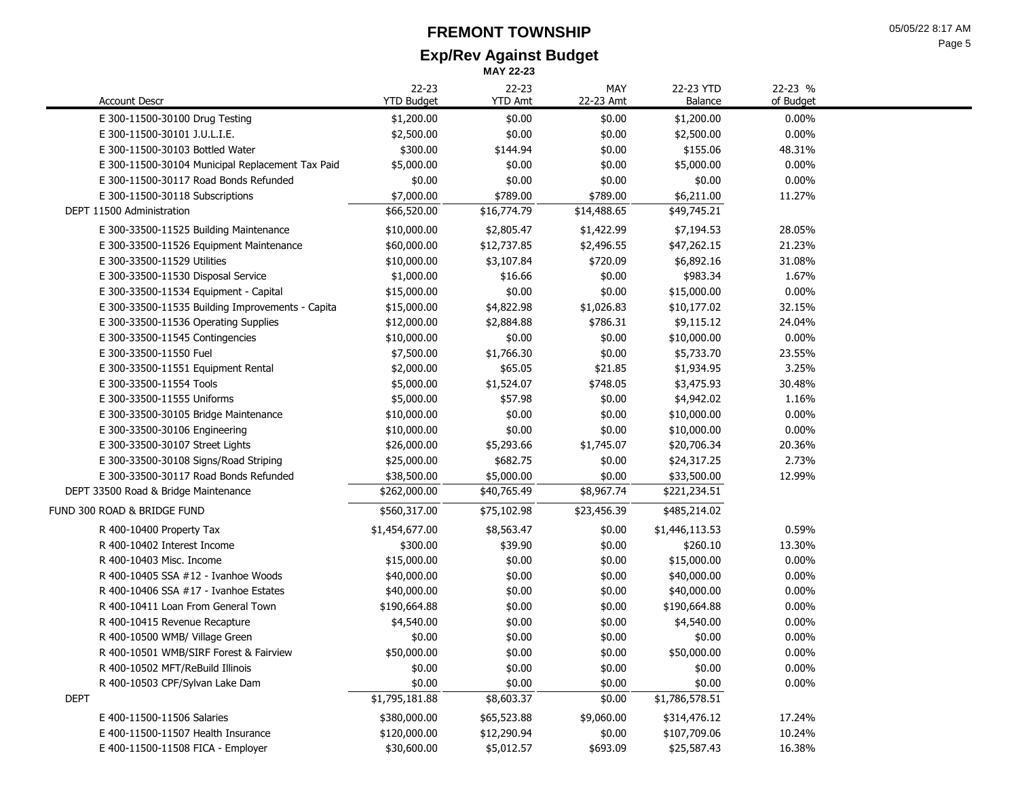### **Exp/Rev Against Budget FREMONT TOWNSHIP**

|                                                  |                                | <b>MAY 22-23</b>            |                  |                      |                      |
|--------------------------------------------------|--------------------------------|-----------------------------|------------------|----------------------|----------------------|
| <b>Account Descr</b>                             | $22 - 23$<br><b>YTD Budget</b> | $22 - 23$<br><b>YTD Amt</b> | MAY<br>22-23 Amt | 22-23 YTD<br>Balance | 22-23 %<br>of Budget |
| E 300-11500-30100 Drug Testing                   | \$1,200.00                     | \$0.00                      | \$0.00           | \$1,200.00           | 0.00%                |
| E 300-11500-30101 J.U.L.I.E.                     | \$2,500.00                     | \$0.00                      | \$0.00           | \$2,500.00           | $0.00\%$             |
| E 300-11500-30103 Bottled Water                  | \$300.00                       | \$144.94                    | \$0.00           | \$155.06             | 48.31%               |
| E 300-11500-30104 Municipal Replacement Tax Paid | \$5,000.00                     | \$0.00                      | \$0.00           | \$5,000.00           | $0.00\%$             |
| E 300-11500-30117 Road Bonds Refunded            | \$0.00                         | \$0.00                      | \$0.00           | \$0.00               | $0.00\%$             |
| E 300-11500-30118 Subscriptions                  | \$7,000.00                     | \$789.00                    | \$789.00         | \$6,211.00           | 11.27%               |
| DEPT 11500 Administration                        | \$66,520.00                    | \$16,774.79                 | \$14,488.65      | \$49,745.21          |                      |
| E 300-33500-11525 Building Maintenance           | \$10,000.00                    | \$2,805.47                  | \$1,422.99       | \$7,194.53           | 28.05%               |
| E 300-33500-11526 Equipment Maintenance          | \$60,000.00                    | \$12,737.85                 | \$2,496.55       | \$47,262.15          | 21.23%               |
| E 300-33500-11529 Utilities                      | \$10,000.00                    | \$3,107.84                  | \$720.09         | \$6,892.16           | 31.08%               |
| E 300-33500-11530 Disposal Service               | \$1,000.00                     | \$16.66                     | \$0.00           | \$983.34             | 1.67%                |
| E 300-33500-11534 Equipment - Capital            | \$15,000.00                    | \$0.00                      | \$0.00           | \$15,000.00          | $0.00\%$             |
| E 300-33500-11535 Building Improvements - Capita | \$15,000.00                    | \$4,822.98                  | \$1,026.83       | \$10,177.02          | 32.15%               |
| E 300-33500-11536 Operating Supplies             | \$12,000.00                    | \$2,884.88                  | \$786.31         | \$9,115.12           | 24.04%               |
| E 300-33500-11545 Contingencies                  | \$10,000.00                    | \$0.00                      | \$0.00           | \$10,000.00          | $0.00\%$             |
| E 300-33500-11550 Fuel                           | \$7,500.00                     | \$1,766.30                  | \$0.00           | \$5,733.70           | 23.55%               |
| E 300-33500-11551 Equipment Rental               | \$2,000.00                     | \$65.05                     | \$21.85          | \$1,934.95           | 3.25%                |
| E 300-33500-11554 Tools                          | \$5,000.00                     | \$1,524.07                  | \$748.05         | \$3,475.93           | 30.48%               |
| E 300-33500-11555 Uniforms                       | \$5,000.00                     | \$57.98                     | \$0.00           | \$4,942.02           | 1.16%                |
| E 300-33500-30105 Bridge Maintenance             | \$10,000.00                    | \$0.00                      | \$0.00           | \$10,000.00          | $0.00\%$             |
| E 300-33500-30106 Engineering                    | \$10,000.00                    | \$0.00                      | \$0.00           | \$10,000.00          | 0.00%                |
| E 300-33500-30107 Street Lights                  | \$26,000.00                    | \$5,293.66                  | \$1,745.07       | \$20,706.34          | 20.36%               |
| E 300-33500-30108 Signs/Road Striping            | \$25,000.00                    | \$682.75                    | \$0.00           | \$24,317.25          | 2.73%                |
| E 300-33500-30117 Road Bonds Refunded            | \$38,500.00                    | \$5,000.00                  | \$0.00           | \$33,500.00          | 12.99%               |
| DEPT 33500 Road & Bridge Maintenance             | \$262,000.00                   | \$40,765.49                 | \$8,967.74       | \$221,234.51         |                      |
| FUND 300 ROAD & BRIDGE FUND                      | \$560,317.00                   | \$75,102.98                 | \$23,456.39      | \$485,214.02         |                      |
| R 400-10400 Property Tax                         | \$1,454,677.00                 | \$8,563.47                  | \$0.00           | \$1,446,113.53       | 0.59%                |
| R 400-10402 Interest Income                      | \$300.00                       | \$39.90                     | \$0.00           | \$260.10             | 13.30%               |
| R 400-10403 Misc. Income                         | \$15,000.00                    | \$0.00                      | \$0.00           | \$15,000.00          | 0.00%                |
| R 400-10405 SSA #12 - Ivanhoe Woods              | \$40,000.00                    | \$0.00                      | \$0.00           | \$40,000.00          | 0.00%                |
| R 400-10406 SSA $#17$ - Ivanhoe Estates          | \$40,000.00                    | \$0.00                      | \$0.00           | \$40,000.00          | 0.00%                |
| R 400-10411 Loan From General Town               | \$190,664.88                   | \$0.00                      | \$0.00           | \$190,664.88         | 0.00%                |
| R 400-10415 Revenue Recapture                    | \$4,540.00                     | \$0.00                      | \$0.00           | \$4,540.00           | 0.00%                |
| R 400-10500 WMB/ Village Green                   | \$0.00                         | \$0.00                      | \$0.00           | \$0.00               | 0.00%                |
| R 400-10501 WMB/SIRF Forest & Fairview           | \$50,000.00                    | \$0.00                      | \$0.00           | \$50,000.00          | 0.00%                |
| R 400-10502 MFT/ReBuild Illinois                 | \$0.00                         | \$0.00                      | \$0.00           | \$0.00               | $0.00\%$             |
| R 400-10503 CPF/Sylvan Lake Dam                  | \$0.00                         | \$0.00                      | \$0.00           | \$0.00               | $0.00\%$             |
| DEPT                                             | \$1,795,181.88                 | \$8,603.37                  | \$0.00           | \$1,786,578.51       |                      |
| E 400-11500-11506 Salaries                       | \$380,000.00                   | \$65,523.88                 | \$9,060.00       | \$314,476.12         | 17.24%               |
| E 400-11500-11507 Health Insurance               | \$120,000.00                   | \$12,290.94                 | \$0.00           | \$107,709.06         | 10.24%               |
| E 400-11500-11508 FICA - Employer                | \$30,600.00                    | \$5,012.57                  | \$693.09         | \$25,587.43          | 16.38%               |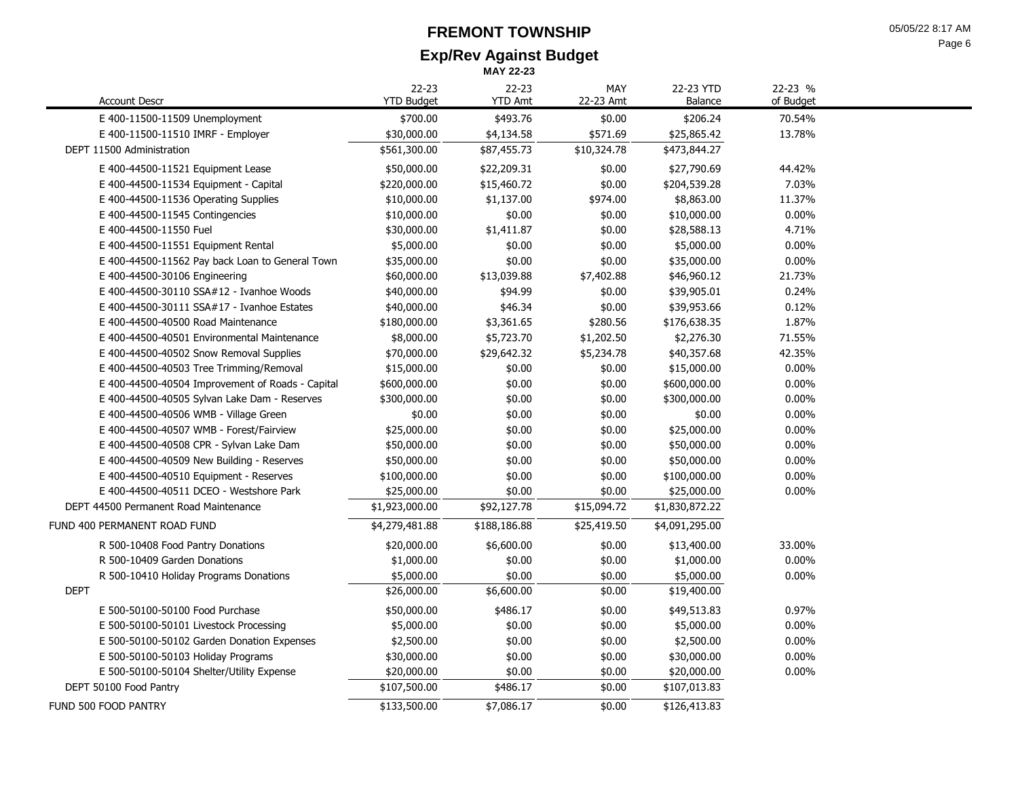# **FREMONT TOWNSHIP**

**Exp/Rev Against Budget MAY 22-23**

| <b>Account Descr</b>                             | $22 - 23$<br><b>YTD Budget</b> | $22 - 23$<br><b>YTD Amt</b> | MAY<br>22-23 Amt | 22-23 YTD<br>Balance | 22-23 %<br>of Budget |  |
|--------------------------------------------------|--------------------------------|-----------------------------|------------------|----------------------|----------------------|--|
| E 400-11500-11509 Unemployment                   | \$700.00                       | \$493.76                    | \$0.00           | \$206.24             | 70.54%               |  |
| E 400-11500-11510 IMRF - Employer                | \$30,000.00                    | \$4,134.58                  | \$571.69         | \$25,865.42          | 13.78%               |  |
| DEPT 11500 Administration                        | \$561,300.00                   | \$87,455.73                 | \$10,324.78      | \$473,844.27         |                      |  |
| E 400-44500-11521 Equipment Lease                | \$50,000.00                    | \$22,209.31                 | \$0.00           | \$27,790.69          | 44.42%               |  |
| E 400-44500-11534 Equipment - Capital            | \$220,000.00                   | \$15,460.72                 | \$0.00           | \$204,539.28         | 7.03%                |  |
| E 400-44500-11536 Operating Supplies             | \$10,000.00                    | \$1,137.00                  | \$974.00         | \$8,863.00           | 11.37%               |  |
| E 400-44500-11545 Contingencies                  | \$10,000.00                    | \$0.00                      | \$0.00           | \$10,000.00          | 0.00%                |  |
| E 400-44500-11550 Fuel                           | \$30,000.00                    | \$1,411.87                  | \$0.00           | \$28,588.13          | 4.71%                |  |
| E 400-44500-11551 Equipment Rental               | \$5,000.00                     | \$0.00                      | \$0.00           | \$5,000.00           | 0.00%                |  |
| E 400-44500-11562 Pay back Loan to General Town  | \$35,000.00                    | \$0.00                      | \$0.00           | \$35,000.00          | 0.00%                |  |
| E 400-44500-30106 Engineering                    | \$60,000.00                    | \$13,039.88                 | \$7,402.88       | \$46,960.12          | 21.73%               |  |
| E 400-44500-30110 SSA#12 - Ivanhoe Woods         | \$40,000.00                    | \$94.99                     | \$0.00           | \$39,905.01          | 0.24%                |  |
| E 400-44500-30111 SSA#17 - Ivanhoe Estates       | \$40,000.00                    | \$46.34                     | \$0.00           | \$39,953.66          | 0.12%                |  |
| E 400-44500-40500 Road Maintenance               | \$180,000.00                   | \$3,361.65                  | \$280.56         | \$176,638.35         | 1.87%                |  |
| E 400-44500-40501 Environmental Maintenance      | \$8,000.00                     | \$5,723.70                  | \$1,202.50       | \$2,276.30           | 71.55%               |  |
| E 400-44500-40502 Snow Removal Supplies          | \$70,000.00                    | \$29,642.32                 | \$5,234.78       | \$40,357.68          | 42.35%               |  |
| E 400-44500-40503 Tree Trimming/Removal          | \$15,000.00                    | \$0.00                      | \$0.00           | \$15,000.00          | 0.00%                |  |
| E 400-44500-40504 Improvement of Roads - Capital | \$600,000.00                   | \$0.00                      | \$0.00           | \$600,000.00         | 0.00%                |  |
| E 400-44500-40505 Sylvan Lake Dam - Reserves     | \$300,000.00                   | \$0.00                      | \$0.00           | \$300,000.00         | 0.00%                |  |
| E 400-44500-40506 WMB - Village Green            | \$0.00                         | \$0.00                      | \$0.00           | \$0.00               | 0.00%                |  |
| E 400-44500-40507 WMB - Forest/Fairview          | \$25,000.00                    | \$0.00                      | \$0.00           | \$25,000.00          | 0.00%                |  |
| E 400-44500-40508 CPR - Sylvan Lake Dam          | \$50,000.00                    | \$0.00                      | \$0.00           | \$50,000.00          | 0.00%                |  |
| E 400-44500-40509 New Building - Reserves        | \$50,000.00                    | \$0.00                      | \$0.00           | \$50,000.00          | 0.00%                |  |
| E 400-44500-40510 Equipment - Reserves           | \$100,000.00                   | \$0.00                      | \$0.00           | \$100,000.00         | 0.00%                |  |
| E 400-44500-40511 DCEO - Westshore Park          | \$25,000.00                    | \$0.00                      | \$0.00           | \$25,000.00          | 0.00%                |  |
| DEPT 44500 Permanent Road Maintenance            | \$1,923,000.00                 | \$92,127.78                 | \$15,094.72      | \$1,830,872.22       |                      |  |
| FUND 400 PERMANENT ROAD FUND                     | \$4,279,481.88                 | \$188,186.88                | \$25,419.50      | \$4,091,295.00       |                      |  |
| R 500-10408 Food Pantry Donations                | \$20,000.00                    | \$6,600.00                  | \$0.00           | \$13,400.00          | 33.00%               |  |
| R 500-10409 Garden Donations                     | \$1,000.00                     | \$0.00                      | \$0.00           | \$1,000.00           | 0.00%                |  |
| R 500-10410 Holiday Programs Donations           | \$5,000.00                     | \$0.00                      | \$0.00           | \$5,000.00           | 0.00%                |  |
| <b>DEPT</b>                                      | \$26,000.00                    | \$6,600.00                  | \$0.00           | \$19,400.00          |                      |  |
| E 500-50100-50100 Food Purchase                  | \$50,000.00                    | \$486.17                    | \$0.00           | \$49,513.83          | 0.97%                |  |
| E 500-50100-50101 Livestock Processing           | \$5,000.00                     | \$0.00                      | \$0.00           | \$5,000.00           | 0.00%                |  |
| E 500-50100-50102 Garden Donation Expenses       | \$2,500.00                     | \$0.00                      | \$0.00           | \$2,500.00           | 0.00%                |  |
| E 500-50100-50103 Holiday Programs               | \$30,000.00                    | \$0.00                      | \$0.00           | \$30,000.00          | 0.00%                |  |
| E 500-50100-50104 Shelter/Utility Expense        | \$20,000.00                    | \$0.00                      | \$0.00           | \$20,000.00          | 0.00%                |  |
| DEPT 50100 Food Pantry                           | \$107,500.00                   | \$486.17                    | \$0.00           | \$107,013.83         |                      |  |
| FUND 500 FOOD PANTRY                             | \$133,500.00                   | \$7,086.17                  | \$0.00           | \$126,413.83         |                      |  |